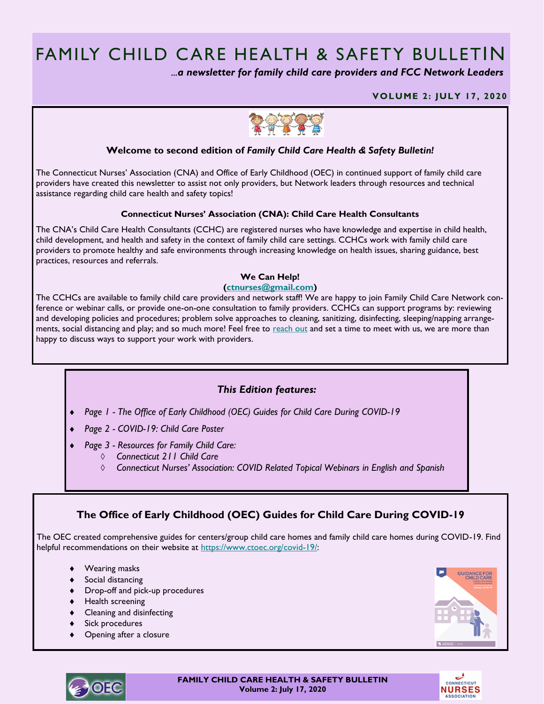# FAMILY CHILD CARE HEALTH & SAFETY BULLETIN

 *...a newsletter for family child care providers and FCC Network Leaders* 

#### **VOLUME 2: JULY 17, 2020**



### **Welcome to second edition of** *Family Child Care Health & Safety Bulletin!*

The Connecticut Nurses' Association (CNA) and Office of Early Childhood (OEC) in continued support of family child care providers have created this newsletter to assist not only providers, but Network leaders through resources and technical assistance regarding child care health and safety topics!

#### **Connecticut Nurses' Association (CNA): Child Care Health Consultants**

The CNA's Child Care Health Consultants (CCHC) are registered nurses who have knowledge and expertise in child health, child development, and health and safety in the context of family child care settings. CCHCs work with family child care providers to promote healthy and safe environments through increasing knowledge on health issues, sharing guidance, best practices, resources and referrals.

### **We Can Help!**

#### **[\(ctnurses@gmail.com\)](mailto:ctnurses@gmail.com)**

The CCHCs are available to family child care providers and network staff! We are happy to join Family Child Care Network conference or webinar calls, or provide one-on-one consultation to family providers. CCHCs can support programs by: reviewing and developing policies and procedures; problem solve approaches to cleaning, sanitizing, disinfecting, sleeping/napping arrangements, social distancing and play; and so much more! Feel free to [reach out](mailto:ctnurses@gmail.com) and set a time to meet with us, we are more than happy to discuss ways to support your work with providers.

### *This Edition features:*

- *Page 1 - The Office of Early Childhood (OEC) Guides for Child Care During COVID-19*
- *Page 2 - COVID-19: Child Care Poster*
- *Page 3 - Resources for Family Child Care:*
	- *Connecticut 211 Child Care*
	- *Connecticut Nurses' Association: COVID Related Topical Webinars in English and Spanish*

## **The Office of Early Childhood (OEC) Guides for Child Care During COVID-19**

The OEC created comprehensive guides for centers/group child care homes and family child care homes during COVID-19. Find helpful recommendations on their website at [https://www.ctoec.org/covid-19/:](https://www.ctoec.org/covid-19/)

- Wearing masks
- ◆ Social distancing
- Drop-off and pick-up procedures
- ◆ Health screening
- **EXECT** Cleaning and disinfecting
- Sick procedures
- Opening after a closure





**FAMILY CHILD CARE HEALTH & SAFETY BULLETIN Volume 2: July 17, 2020**

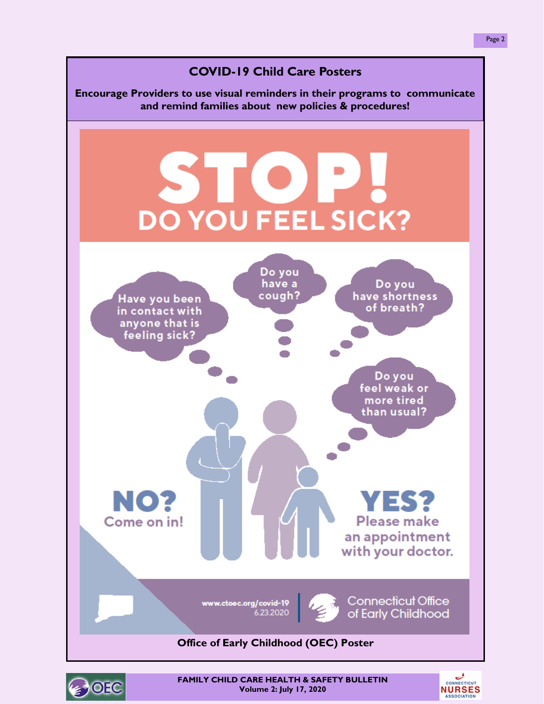

**BOEC** 

**FAMILY CHILD CARE HEALTH & SAFETY BULLETIN Volume 2: July 17, 2020**